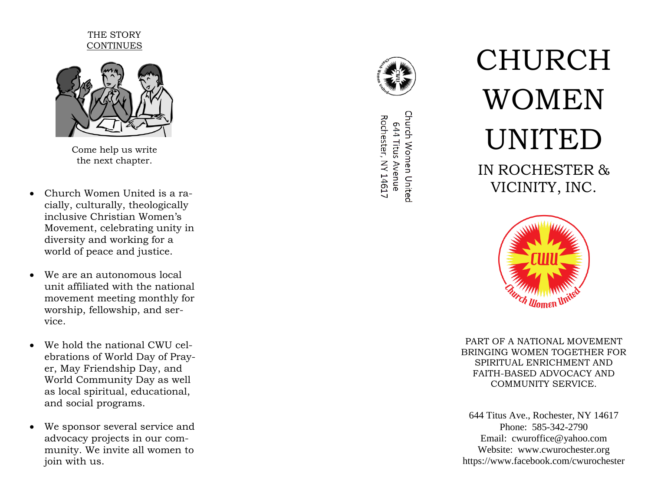## THE STORY CONTINUES



Come help us write the next chapter.

- Church Women United is a racially, culturally, theologically inclusive Christian Women's Movement, celebrating unity in diversity and working for a world of peace and justice.
- We are an autonomous local unit affiliated with the national movement meeting monthly for worship, fellowship, and service.
- We hold the national CWU celebrations of World Day of Prayer, May Friendship Day, and World Community Day as well as local spiritual, educational, and social programs.
- We sponsor several service and advocacy projects in our community. We invite all women to join with us.



Church Women United Rochester, NY 14617 644 Titus Avenue

# CHURCH WOMEN UNITED IN ROCHESTER & VICINITY, INC.



PART OF A NATIONAL MOVEMENT BRINGING WOMEN TOGETHER FOR SPIRITUAL ENRICHMENT AND FAITH -BASED ADVOCACY AND COMMUNITY SERVICE.

644 Titus Ave., Rochester, NY 14617 Phone: 585 -342 -2790 Email: cwuroffice@yahoo.com Website: www.cwurochester.org https://www.facebook.com/cwurochester